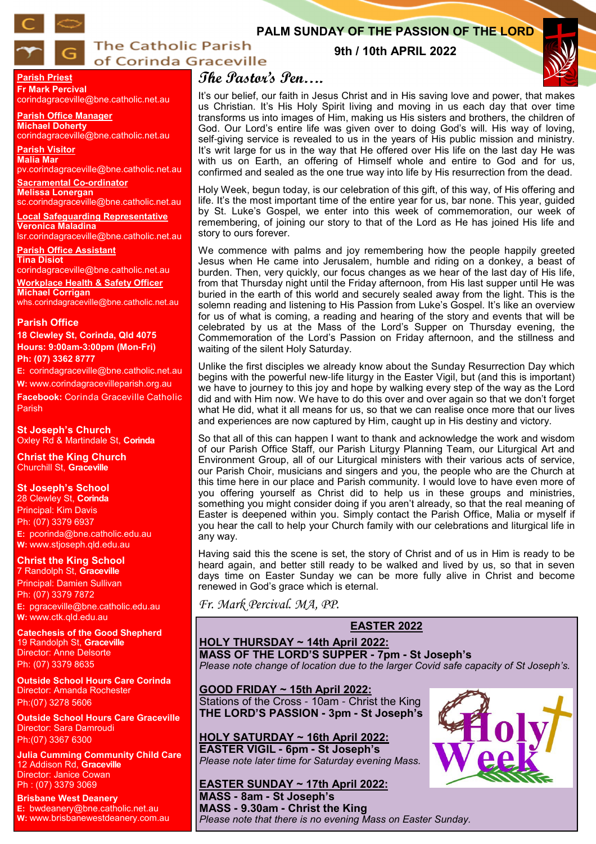

## **The Catholic Parish** of Corinda Graceville

## **PALM SUNDAY OF THE PASSION OF THE LORD**

## **9th / 10th APRIL 2022**



**Parish Priest Fr Mark Percival**

corindagraceville@bne.catholic.net.au

**Parish Office Manager Michael Doherty** corindagraceville@bne.catholic.net.au

**Parish Visitor Malia Mar**  pv.corindagraceville@bne.catholic.net.au

**Sacramental Co-ordinator Melissa Lonergan**  sc.corindagraceville@bne.catholic.net.au

**Local Safeguarding Representative Veronica Maladina**

lsr.corindagraceville@bne.catholic.net.au **Parish Office Assistant** 

**Tina Disiot**  corindagraceville@bne.catholic.net.au

**Workplace Health & Safety Officer Michael Corrigan** whs.corindagraceville@bne.catholic.net.au

#### **Parish Office**

**18 Clewley St, Corinda, Qld 4075 Hours: 9:00am-3:00pm (Mon-Fri) Ph: (07) 3362 8777**

**E:** corindagraceville@bne.catholic.net.au **W:** www.corindagracevilleparish.org.au **Facebook:** Corinda Graceville Catholic Parish

**St Joseph's Church** Oxley Rd & Martindale St, **Corinda**

**Christ the King Church** Churchill St, **Graceville**

#### **St Joseph's School**

28 Clewley St, **Corinda** Principal: Kim Davis Ph: (07) 3379 6937 **E:** pcorinda@bne.catholic.edu.au **W:** www.stjoseph.qld.edu.au

**Christ the King School**  7 Randolph St, **Graceville**

Principal: Damien Sullivan Ph: (07) 3379 7872 **E:** pgraceville@bne.catholic.edu.au **W:** www.ctk.qld.edu.au

**Catechesis of the Good Shepherd**  19 Randolph St, **Graceville**  Director: Anne Delsorte Ph: (07) 3379 8635

**Outside School Hours Care Corinda**  Director: Amanda Rochester Ph:(07) 3278 5606

**Outside School Hours Care Graceville**  Director: Sara Damroudi Ph:(07) 3367 6300

**Julia Cumming Community Child Care**  12 Addison Rd, **Graceville**  Director: Janice Cowan Ph : (07) 3379 3069

**Brisbane West Deanery E:** bwdeanery@bne.catholic.net.au **W:** www.brisbanewestdeanery.com.au

# **The Pastor's Pen….**

It's our belief, our faith in Jesus Christ and in His saving love and power, that makes us Christian. It's His Holy Spirit living and moving in us each day that over time transforms us into images of Him, making us His sisters and brothers, the children of God. Our Lord's entire life was given over to doing God's will. His way of loving, self-giving service is revealed to us in the years of His public mission and ministry. It's writ large for us in the way that He offered over His life on the last day He was with us on Earth, an offering of Himself whole and entire to God and for us, confirmed and sealed as the one true way into life by His resurrection from the dead.

Holy Week, begun today, is our celebration of this gift, of this way, of His offering and life. It's the most important time of the entire year for us, bar none. This year, guided by St. Luke's Gospel, we enter into this week of commemoration, our week of remembering, of joining our story to that of the Lord as He has joined His life and story to ours forever.

We commence with palms and joy remembering how the people happily greeted Jesus when He came into Jerusalem, humble and riding on a donkey, a beast of burden. Then, very quickly, our focus changes as we hear of the last day of His life, from that Thursday night until the Friday afternoon, from His last supper until He was buried in the earth of this world and securely sealed away from the light. This is the solemn reading and listening to His Passion from Luke's Gospel. It's like an overview for us of what is coming, a reading and hearing of the story and events that will be celebrated by us at the Mass of the Lord's Supper on Thursday evening, the Commemoration of the Lord's Passion on Friday afternoon, and the stillness and waiting of the silent Holy Saturday.

Unlike the first disciples we already know about the Sunday Resurrection Day which begins with the powerful new-life liturgy in the Easter Vigil, but (and this is important) we have to journey to this joy and hope by walking every step of the way as the Lord did and with Him now. We have to do this over and over again so that we don't forget what He did, what it all means for us, so that we can realise once more that our lives and experiences are now captured by Him, caught up in His destiny and victory.

So that all of this can happen I want to thank and acknowledge the work and wisdom of our Parish Office Staff, our Parish Liturgy Planning Team, our Liturgical Art and Environment Group, all of our Liturgical ministers with their various acts of service, our Parish Choir, musicians and singers and you, the people who are the Church at this time here in our place and Parish community. I would love to have even more of you offering yourself as Christ did to help us in these groups and ministries, something you might consider doing if you aren't already, so that the real meaning of Easter is deepened within you. Simply contact the Parish Office, Malia or myself if you hear the call to help your Church family with our celebrations and liturgical life in any way.

Having said this the scene is set, the story of Christ and of us in Him is ready to be heard again, and better still ready to be walked and lived by us, so that in seven days time on Easter Sunday we can be more fully alive in Christ and become renewed in God's grace which is eternal.

*Fr. Mark Percival. MA, PP.* 

#### **EASTER 2022**

**HOLY THURSDAY ~ 14th April 2022: MASS OF THE LORD'S SUPPER - 7pm - St Joseph's**

*Please note change of location due to the larger Covid safe capacity of St Joseph's.* 

**GOOD FRIDAY ~ 15th April 2022:**  Stations of the Cross - 10am - Christ the King **THE LORD'S PASSION - 3pm - St Joseph's**

**HOLY SATURDAY ~ 16th April 2022: EASTER VIGIL - 6pm - St Joseph's**  *Please note later time for Saturday evening Mass.*

## **EASTER SUNDAY ~ 17th April 2022:**

**MASS - 8am - St Joseph's MASS - 9.30am - Christ the King**  *Please note that there is no evening Mass on Easter Sunday.* 

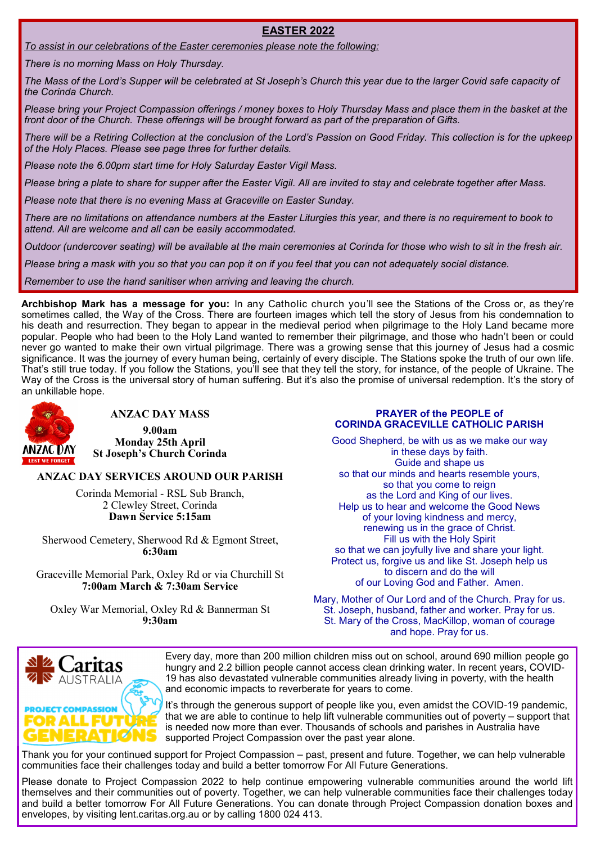#### **EASTER 2022**

*To assist in our celebrations of the Easter ceremonies please note the following:* 

*There is no morning Mass on Holy Thursday.*

*The Mass of the Lord's Supper will be celebrated at St Joseph's Church this year due to the larger Covid safe capacity of the Corinda Church.*

*Please bring your Project Compassion offerings / money boxes to Holy Thursday Mass and place them in the basket at the front door of the Church. These offerings will be brought forward as part of the preparation of Gifts.*

*There will be a Retiring Collection at the conclusion of the Lord's Passion on Good Friday. This collection is for the upkeep of the Holy Places. Please see page three for further details.*

*Please note the 6.00pm start time for Holy Saturday Easter Vigil Mass.*

*Please bring a plate to share for supper after the Easter Vigil. All are invited to stay and celebrate together after Mass.* 

*Please note that there is no evening Mass at Graceville on Easter Sunday.* 

*There are no limitations on attendance numbers at the Easter Liturgies this year, and there is no requirement to book to attend. All are welcome and all can be easily accommodated.* 

*Outdoor (undercover seating) will be available at the main ceremonies at Corinda for those who wish to sit in the fresh air.* 

*Please bring a mask with you so that you can pop it on if you feel that you can not adequately social distance.*

*Remember to use the hand sanitiser when arriving and leaving the church.* 

**Archbishop Mark has a message for you:** In any Catholic church you'll see the Stations of the Cross or, as they're sometimes called, the Way of the Cross. There are fourteen images which tell the story of Jesus from his condemnation to his death and resurrection. They began to appear in the medieval period when pilgrimage to the Holy Land became more popular. People who had been to the Holy Land wanted to remember their pilgrimage, and those who hadn't been or could never go wanted to make their own virtual pilgrimage. There was a growing sense that this journey of Jesus had a cosmic significance. It was the journey of every human being, certainly of every disciple. The Stations spoke the truth of our own life. That's still true today. If you follow the Stations, you'll see that they tell the story, for instance, of the people of Ukraine. The Way of the Cross is the universal story of human suffering. But it's also the promise of universal redemption. It's the story of an unkillable hope.



## **ANZAC DAY MASS**

**9.00am Monday 25th April St Joseph's Church Corinda**

#### **ANZAC DAY SERVICES AROUND OUR PARISH**

Corinda Memorial - RSL Sub Branch, 2 Clewley Street, Corinda **Dawn Service 5:15am** 

Sherwood Cemetery, Sherwood Rd & Egmont Street, **6:30am** 

Graceville Memorial Park, Oxley Rd or via Churchill St **7:00am March & 7:30am Service** 

Oxley War Memorial, Oxley Rd & Bannerman St **9:30am** 

#### **PRAYER of the PEOPLE of CORINDA GRACEVILLE CATHOLIC PARISH**

Good Shepherd, be with us as we make our way in these days by faith. Guide and shape us so that our minds and hearts resemble yours, so that you come to reign as the Lord and King of our lives. Help us to hear and welcome the Good News of your loving kindness and mercy, renewing us in the grace of Christ. Fill us with the Holy Spirit so that we can joyfully live and share your light. Protect us, forgive us and like St. Joseph help us to discern and do the will of our Loving God and Father. Amen.

Mary, Mother of Our Lord and of the Church. Pray for us. St. Joseph, husband, father and worker. Pray for us. St. Mary of the Cross, MacKillop, woman of courage and hope. Pray for us.



Every day, more than 200 million children miss out on school, around 690 million people go hungry and 2.2 billion people cannot access clean drinking water. In recent years, COVID-19 has also devastated vulnerable communities already living in poverty, with the health and economic impacts to reverberate for years to come.

It's through the generous support of people like you, even amidst the COVID-19 pandemic, that we are able to continue to help lift vulnerable communities out of poverty – support that is needed now more than ever. Thousands of schools and parishes in Australia have supported Project Compassion over the past year alone.

Thank you for your continued support for Project Compassion – past, present and future. Together, we can help vulnerable communities face their challenges today and build a better tomorrow For All Future Generations.

Please donate to Project Compassion 2022 to help continue empowering vulnerable communities around the world lift themselves and their communities out of poverty. Together, we can help vulnerable communities face their challenges today and build a better tomorrow For All Future Generations. You can donate through Project Compassion donation boxes and envelopes, by visiting lent.caritas.org.au or by calling 1800 024 413.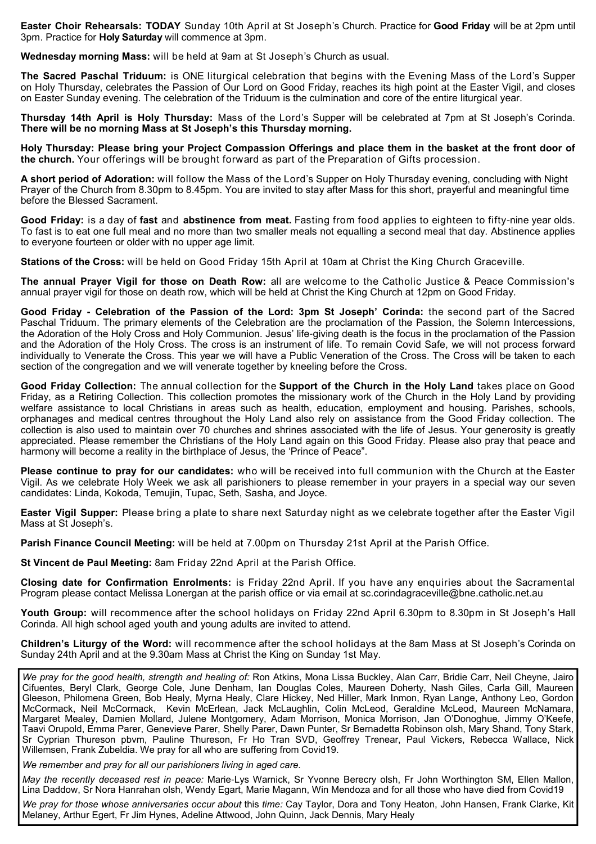**Easter Choir Rehearsals: TODAY** Sunday 10th April at St Joseph's Church. Practice for **Good Friday** will be at 2pm until 3pm. Practice for **Holy Saturday** will commence at 3pm.

**Wednesday morning Mass:** will be held at 9am at St Joseph's Church as usual.

**The Sacred Paschal Triduum:** is ONE liturgical celebration that begins with the Evening Mass of the Lord's Supper on Holy Thursday, celebrates the Passion of Our Lord on Good Friday, reaches its high point at the Easter Vigil, and closes on Easter Sunday evening. The celebration of the Triduum is the culmination and core of the entire liturgical year.

**Thursday 14th April is Holy Thursday:** Mass of the Lord's Supper will be celebrated at 7pm at St Joseph's Corinda. **There will be no morning Mass at St Joseph's this Thursday morning.** 

**Holy Thursday: Please bring your Project Compassion Offerings and place them in the basket at the front door of the church.** Your offerings will be brought forward as part of the Preparation of Gifts procession.

**A short period of Adoration:** will follow the Mass of the Lord's Supper on Holy Thursday evening, concluding with Night Prayer of the Church from 8.30pm to 8.45pm. You are invited to stay after Mass for this short, prayerful and meaningful time before the Blessed Sacrament.

**Good Friday:** is a day of **fast** and **abstinence from meat.** Fasting from food applies to eighteen to fifty-nine year olds. To fast is to eat one full meal and no more than two smaller meals not equalling a second meal that day. Abstinence applies to everyone fourteen or older with no upper age limit.

**Stations of the Cross:** will be held on Good Friday 15th April at 10am at Christ the King Church Graceville.

**The annual Prayer Vigil for those on Death Row:** all are welcome to the Catholic Justice & Peace Commission's annual prayer vigil for those on death row, which will be held at Christ the King Church at 12pm on Good Friday.

**Good Friday - Celebration of the Passion of the Lord: 3pm St Joseph' Corinda:** the second part of the Sacred Paschal Triduum. The primary elements of the Celebration are the proclamation of the Passion, the Solemn Intercessions, the Adoration of the Holy Cross and Holy Communion. Jesus' life-giving death is the focus in the proclamation of the Passion and the Adoration of the Holy Cross. The cross is an instrument of life. To remain Covid Safe, we will not process forward individually to Venerate the Cross. This year we will have a Public Veneration of the Cross. The Cross will be taken to each section of the congregation and we will venerate together by kneeling before the Cross.

**Good Friday Collection:** The annual collection for the **Support of the Church in the Holy Land** takes place on Good Friday, as a Retiring Collection. This collection promotes the missionary work of the Church in the Holy Land by providing welfare assistance to local Christians in areas such as health, education, employment and housing. Parishes, schools, orphanages and medical centres throughout the Holy Land also rely on assistance from the Good Friday collection. The collection is also used to maintain over 70 churches and shrines associated with the life of Jesus. Your generosity is greatly appreciated. Please remember the Christians of the Holy Land again on this Good Friday. Please also pray that peace and harmony will become a reality in the birthplace of Jesus, the 'Prince of Peace".

**Please continue to pray for our candidates:** who will be received into full communion with the Church at the Easter Vigil. As we celebrate Holy Week we ask all parishioners to please remember in your prayers in a special way our seven candidates: Linda, Kokoda, Temujin, Tupac, Seth, Sasha, and Joyce.

**Easter Vigil Supper:** Please bring a plate to share next Saturday night as we celebrate together after the Easter Vigil Mass at St Joseph's.

**Parish Finance Council Meeting:** will be held at 7.00pm on Thursday 21st April at the Parish Office.

**St Vincent de Paul Meeting:** 8am Friday 22nd April at the Parish Office.

**Closing date for Confirmation Enrolments:** is Friday 22nd April. If you have any enquiries about the Sacramental Program please contact Melissa Lonergan at the parish office or via email at sc.corindagraceville@bne.catholic.net.au

**Youth Group:** will recommence after the school holidays on Friday 22nd April 6.30pm to 8.30pm in St Joseph's Hall Corinda. All high school aged youth and young adults are invited to attend.

**Children's Liturgy of the Word:** will recommence after the school holidays at the 8am Mass at St Joseph's Corinda on Sunday 24th April and at the 9.30am Mass at Christ the King on Sunday 1st May.

*We pray for the good health, strength and healing of:* Ron Atkins, Mona Lissa Buckley, Alan Carr, Bridie Carr, Neil Cheyne, Jairo Cifuentes, Beryl Clark, George Cole, June Denham, Ian Douglas Coles, Maureen Doherty, Nash Giles, Carla Gill, Maureen Gleeson, Philomena Green, Bob Healy, Myrna Healy, Clare Hickey, Ned Hiller, Mark Inmon, Ryan Lange, Anthony Leo, Gordon McCormack, Neil McCormack, Kevin McErlean, Jack McLaughlin, Colin McLeod, Geraldine McLeod, Maureen McNamara, Margaret Mealey, Damien Mollard, Julene Montgomery, Adam Morrison, Monica Morrison, Jan O'Donoghue, Jimmy O'Keefe, Taavi Orupold, Emma Parer, Genevieve Parer, Shelly Parer, Dawn Punter, Sr Bernadetta Robinson olsh, Mary Shand, Tony Stark, Sr Cyprian Thureson pbvm, Pauline Thureson, Fr Ho Tran SVD, Geoffrey Trenear, Paul Vickers, Rebecca Wallace, Nick Willemsen, Frank Zubeldia. We pray for all who are suffering from Covid19.

*We remember and pray for all our parishioners living in aged care.* 

*May the recently deceased rest in peace:* Marie-Lys Warnick, Sr Yvonne Berecry olsh, Fr John Worthington SM, Ellen Mallon, Lina Daddow, Sr Nora Hanrahan olsh, Wendy Egart, Marie Magann, Win Mendoza and for all those who have died from Covid19

*We pray for those whose anniversaries occur about* this *time:* Cay Taylor, Dora and Tony Heaton, John Hansen, Frank Clarke, Kit Melaney, Arthur Egert, Fr Jim Hynes, Adeline Attwood, John Quinn, Jack Dennis, Mary Healy